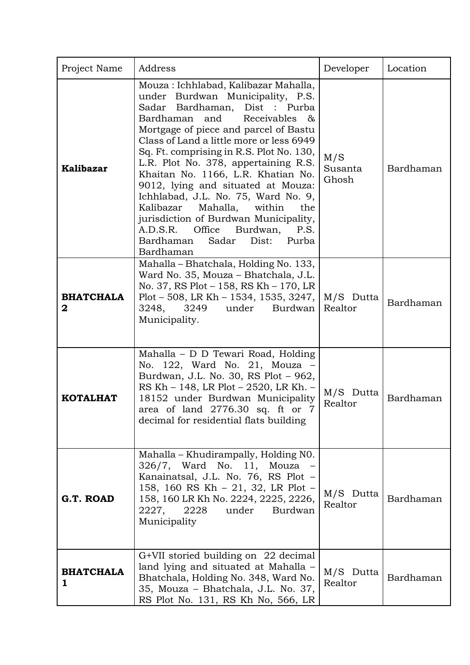| Project Name          | Address                                                                                                                                                                                                                                                                                                                                                                                                                                                                                                                                                                                                                         | Developer               | Location  |
|-----------------------|---------------------------------------------------------------------------------------------------------------------------------------------------------------------------------------------------------------------------------------------------------------------------------------------------------------------------------------------------------------------------------------------------------------------------------------------------------------------------------------------------------------------------------------------------------------------------------------------------------------------------------|-------------------------|-----------|
| <b>Kalibazar</b>      | Mouza: Ichhlabad, Kalibazar Mahalla,<br>Burdwan Municipality, P.S.<br>under<br>Sadar Bardhaman, Dist : Purba<br>Bardhaman and<br>Receivables<br>&<br>Mortgage of piece and parcel of Bastu<br>Class of Land a little more or less 6949<br>Sq. Ft. comprising in R.S. Plot No. 130,<br>L.R. Plot No. 378, appertaining R.S.<br>Khaitan No. 1166, L.R. Khatian No.<br>9012, lying and situated at Mouza:<br>Ichhlabad, J.L. No. 75, Ward No. 9,<br>Kalibazar<br>Mahalla,<br>within<br>the<br>jurisdiction of Burdwan Municipality,<br>A.D.S.R.<br>Office<br>Burdwan,<br>P.S.<br>Bardhaman<br>Sadar<br>Dist:<br>Purba<br>Bardhaman | M/S<br>Susanta<br>Ghosh | Bardhaman |
| <b>BHATCHALA</b><br>2 | Mahalla - Bhatchala, Holding No. 133,<br>Ward No. 35, Mouza - Bhatchala, J.L.<br>No. 37, RS Plot - 158, RS Kh - 170, LR<br>Plot – 508, LR Kh – 1534, 1535, 3247, $\vert$<br>3249<br>under<br>3248,<br>Burdwan  <br>Municipality.                                                                                                                                                                                                                                                                                                                                                                                                | M/S Dutta<br>Realtor    | Bardhaman |
| <b>KOTALHAT</b>       | Mahalla - D D Tewari Road, Holding<br>No. 122, Ward No. 21, Mouza -<br>Burdwan, J.L. No. 30, RS Plot - 962,<br>RS Kh - 148, LR Plot - 2520, LR Kh. -<br>18152 under Burdwan Municipality<br>area of land 2776.30 sq. ft or 7<br>decimal for residential flats building                                                                                                                                                                                                                                                                                                                                                          | M/S Dutta<br>Realtor    | Bardhaman |
| G.T. ROAD             | Mahalla – Khudirampally, Holding NO.<br>326/7, Ward No. 11, Mouza -<br>Kanainatsal, J.L. No. 76, RS Plot -<br>158, 160 RS Kh – 21, 32, LR Plot –<br>158, 160 LR Kh No. 2224, 2225, 2226,<br>2227, 2228<br>under Burdwan<br>Municipality                                                                                                                                                                                                                                                                                                                                                                                         | M/S Dutta<br>Realtor    | Bardhaman |
| <b>BHATCHALA</b><br>1 | G+VII storied building on 22 decimal<br>land lying and situated at Mahalla -<br>Bhatchala, Holding No. 348, Ward No.<br>35, Mouza - Bhatchala, J.L. No. 37,<br>RS Plot No. 131, RS Kh No, 566, LR                                                                                                                                                                                                                                                                                                                                                                                                                               | M/S Dutta<br>Realtor    | Bardhaman |